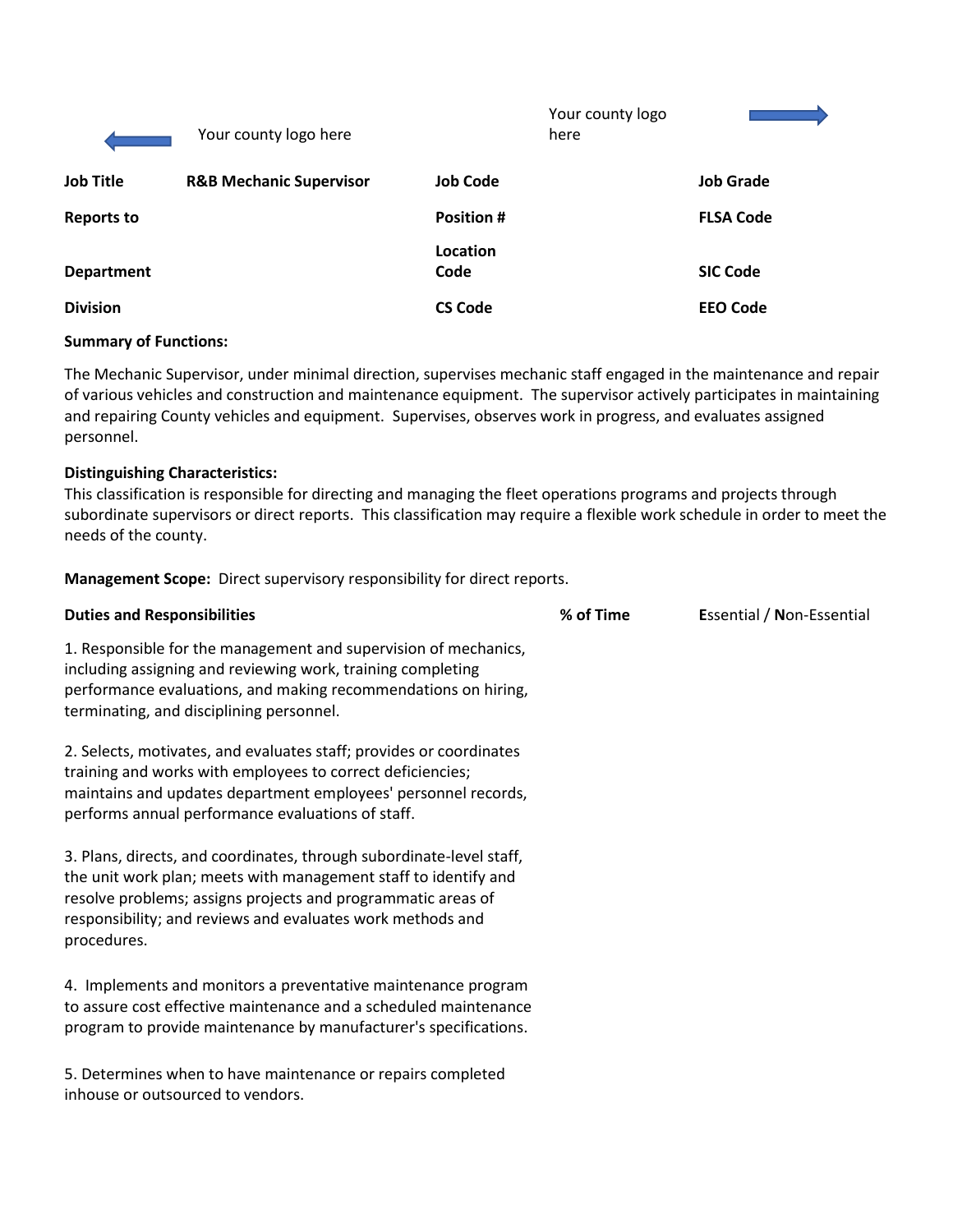|                   | Your county logo here              |                   | Your county logo<br>here |                  |
|-------------------|------------------------------------|-------------------|--------------------------|------------------|
| <b>Job Title</b>  | <b>R&amp;B Mechanic Supervisor</b> | <b>Job Code</b>   |                          | <b>Job Grade</b> |
| <b>Reports to</b> |                                    | <b>Position #</b> |                          | <b>FLSA Code</b> |
| <b>Department</b> |                                    | Location<br>Code  |                          | <b>SIC Code</b>  |
| <b>Division</b>   |                                    | <b>CS Code</b>    |                          | <b>EEO Code</b>  |

#### **Summary of Functions:**

The Mechanic Supervisor, under minimal direction, supervises mechanic staff engaged in the maintenance and repair of various vehicles and construction and maintenance equipment. The supervisor actively participates in maintaining and repairing County vehicles and equipment. Supervises, observes work in progress, and evaluates assigned personnel.

#### **Distinguishing Characteristics:**

This classification is responsible for directing and managing the fleet operations programs and projects through subordinate supervisors or direct reports. This classification may require a flexible work schedule in order to meet the needs of the county.

**Management Scope:** Direct supervisory responsibility for direct reports.

| <b>Duties and Responsibilities</b>                                                                                                                                                                                                                                                   | % of Time | Essential / Non-Essential |
|--------------------------------------------------------------------------------------------------------------------------------------------------------------------------------------------------------------------------------------------------------------------------------------|-----------|---------------------------|
| 1. Responsible for the management and supervision of mechanics,<br>including assigning and reviewing work, training completing<br>performance evaluations, and making recommendations on hiring,<br>terminating, and disciplining personnel.                                         |           |                           |
| 2. Selects, motivates, and evaluates staff; provides or coordinates<br>training and works with employees to correct deficiencies;<br>maintains and updates department employees' personnel records,<br>performs annual performance evaluations of staff.                             |           |                           |
| 3. Plans, directs, and coordinates, through subordinate-level staff,<br>the unit work plan; meets with management staff to identify and<br>resolve problems; assigns projects and programmatic areas of<br>responsibility; and reviews and evaluates work methods and<br>procedures. |           |                           |
| 4. Implements and monitors a preventative maintenance program<br>to assure cost effective maintenance and a scheduled maintenance<br>program to provide maintenance by manufacturer's specifications.                                                                                |           |                           |
| 5. Determines when to have maintenance or repairs completed<br>inhouse or outsourced to vendors.                                                                                                                                                                                     |           |                           |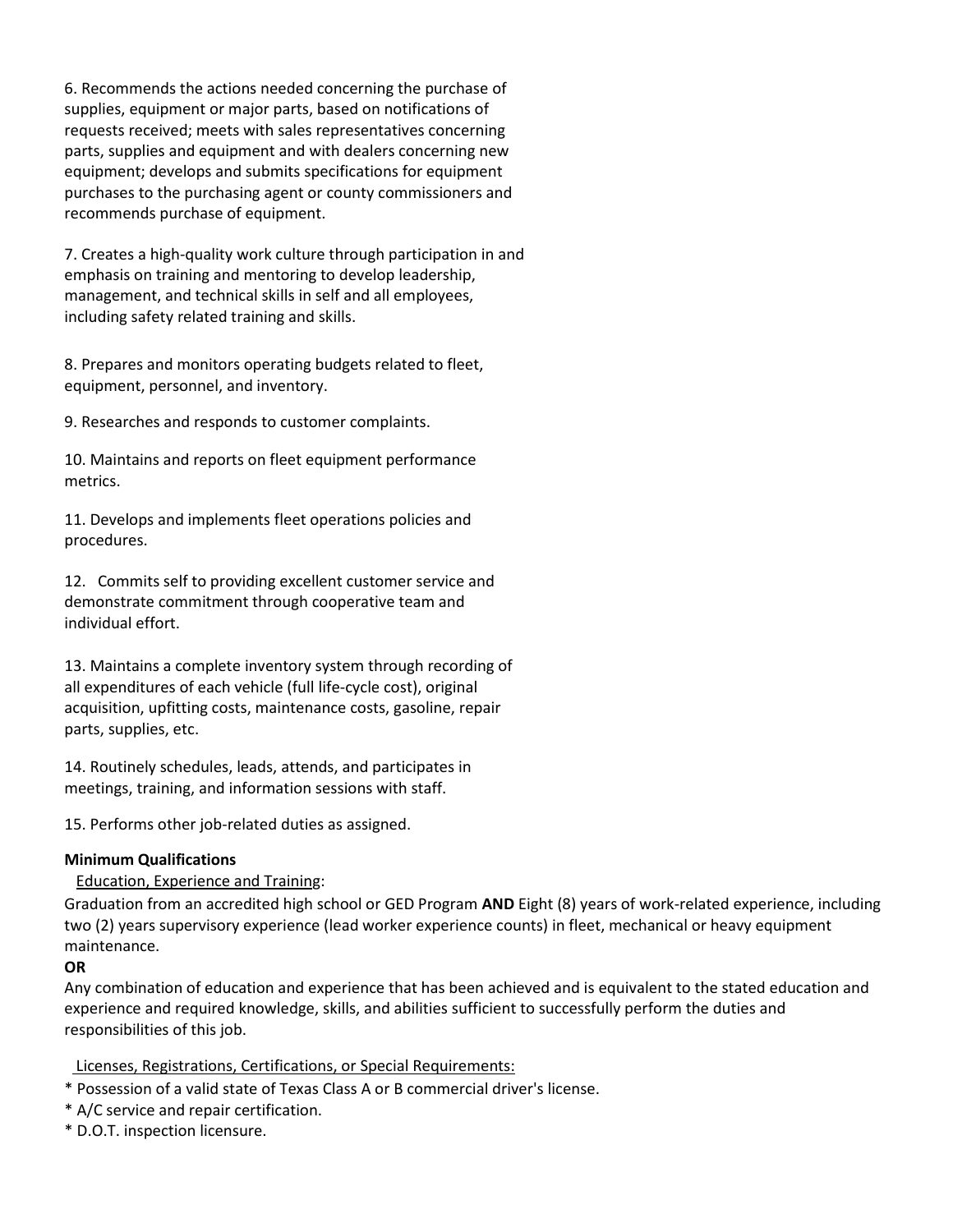6. Recommends the actions needed concerning the purchase of supplies, equipment or major parts, based on notifications of requests received; meets with sales representatives concerning parts, supplies and equipment and with dealers concerning new equipment; develops and submits specifications for equipment purchases to the purchasing agent or county commissioners and recommends purchase of equipment.

7. Creates a high-quality work culture through participation in and emphasis on training and mentoring to develop leadership, management, and technical skills in self and all employees, including safety related training and skills.

8. Prepares and monitors operating budgets related to fleet, equipment, personnel, and inventory.

9. Researches and responds to customer complaints.

10. Maintains and reports on fleet equipment performance metrics.

11. Develops and implements fleet operations policies and procedures.

12. Commits self to providing excellent customer service and demonstrate commitment through cooperative team and individual effort.

13. Maintains a complete inventory system through recording of all expenditures of each vehicle (full life-cycle cost), original acquisition, upfitting costs, maintenance costs, gasoline, repair parts, supplies, etc.

14. Routinely schedules, leads, attends, and participates in meetings, training, and information sessions with staff.

15. Performs other job-related duties as assigned.

## **Minimum Qualifications**

Education, Experience and Training:

Graduation from an accredited high school or GED Program **AND** Eight (8) years of work-related experience, including two (2) years supervisory experience (lead worker experience counts) in fleet, mechanical or heavy equipment maintenance.

#### **OR**

Any combination of education and experience that has been achieved and is equivalent to the stated education and experience and required knowledge, skills, and abilities sufficient to successfully perform the duties and responsibilities of this job.

#### Licenses, Registrations, Certifications, or Special Requirements:

- \* Possession of a valid state of Texas Class A or B commercial driver's license.
- \* A/C service and repair certification.
- \* D.O.T. inspection licensure.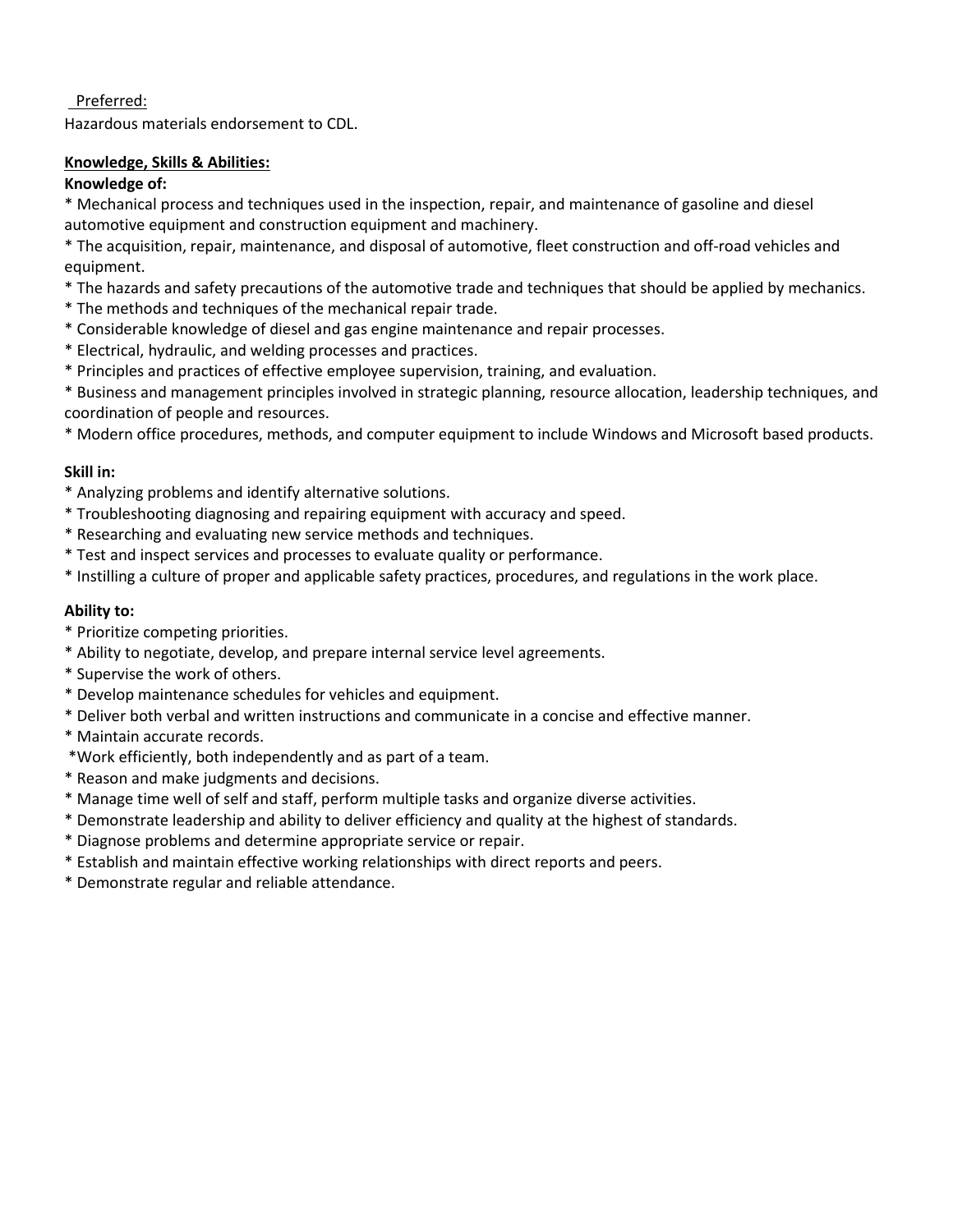# Preferred:

Hazardous materials endorsement to CDL.

## **Knowledge, Skills & Abilities:**

## **Knowledge of:**

\* Mechanical process and techniques used in the inspection, repair, and maintenance of gasoline and diesel automotive equipment and construction equipment and machinery.

\* The acquisition, repair, maintenance, and disposal of automotive, fleet construction and off-road vehicles and equipment.

- \* The hazards and safety precautions of the automotive trade and techniques that should be applied by mechanics.
- \* The methods and techniques of the mechanical repair trade.
- \* Considerable knowledge of diesel and gas engine maintenance and repair processes.
- \* Electrical, hydraulic, and welding processes and practices.
- \* Principles and practices of effective employee supervision, training, and evaluation.
- \* Business and management principles involved in strategic planning, resource allocation, leadership techniques, and coordination of people and resources.
- \* Modern office procedures, methods, and computer equipment to include Windows and Microsoft based products.

### **Skill in:**

- \* Analyzing problems and identify alternative solutions.
- \* Troubleshooting diagnosing and repairing equipment with accuracy and speed.
- \* Researching and evaluating new service methods and techniques.
- \* Test and inspect services and processes to evaluate quality or performance.
- \* Instilling a culture of proper and applicable safety practices, procedures, and regulations in the work place.

### **Ability to:**

- \* Prioritize competing priorities.
- \* Ability to negotiate, develop, and prepare internal service level agreements.
- \* Supervise the work of others.
- \* Develop maintenance schedules for vehicles and equipment.
- \* Deliver both verbal and written instructions and communicate in a concise and effective manner.
- \* Maintain accurate records.
- \*Work efficiently, both independently and as part of a team.
- \* Reason and make judgments and decisions.
- \* Manage time well of self and staff, perform multiple tasks and organize diverse activities.
- \* Demonstrate leadership and ability to deliver efficiency and quality at the highest of standards.
- \* Diagnose problems and determine appropriate service or repair.
- \* Establish and maintain effective working relationships with direct reports and peers.
- \* Demonstrate regular and reliable attendance.